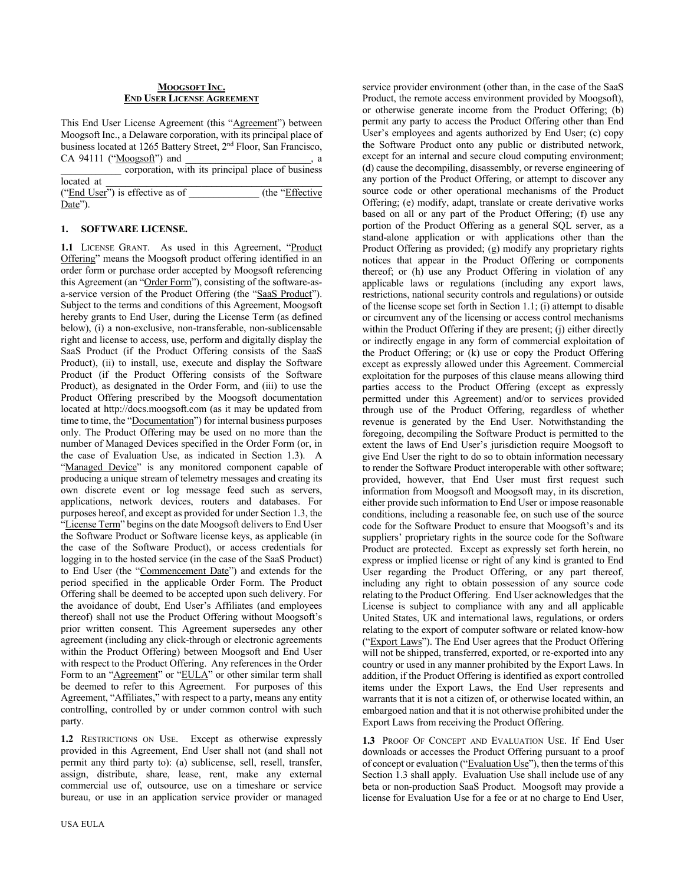#### **MOOGSOFT INC. END USER LICENSE AGREEMENT**

This End User License Agreement (this "Agreement") between Moogsoft Inc., a Delaware corporation, with its principal place of business located at 1265 Battery Street, 2nd Floor, San Francisco,  $CA$  94111 ("Moogsoft") and  $\qquad \qquad$ , a

|                                 | corporation, with its principal place of business |
|---------------------------------|---------------------------------------------------|
| located at                      |                                                   |
| ("End User") is effective as of | (the "Effective")                                 |
| Date").                         |                                                   |

#### **1. SOFTWARE LICENSE.**

1.1 LICENSE GRANT. As used in this Agreement, "Product Offering" means the Moogsoft product offering identified in an order form or purchase order accepted by Moogsoft referencing this Agreement (an "Order Form"), consisting of the software-asa-service version of the Product Offering (the "SaaS Product"). Subject to the terms and conditions of this Agreement, Moogsoft hereby grants to End User, during the License Term (as defined below), (i) a non-exclusive, non-transferable, non-sublicensable right and license to access, use, perform and digitally display the SaaS Product (if the Product Offering consists of the SaaS Product), (ii) to install, use, execute and display the Software Product (if the Product Offering consists of the Software Product), as designated in the Order Form, and (iii) to use the Product Offering prescribed by the Moogsoft documentation located at http://docs.moogsoft.com (as it may be updated from time to time, the "Documentation") for internal business purposes only. The Product Offering may be used on no more than the number of Managed Devices specified in the Order Form (or, in the case of Evaluation Use, as indicated in Section 1.3). A "Managed Device" is any monitored component capable of producing a unique stream of telemetry messages and creating its own discrete event or log message feed such as servers, applications, network devices, routers and databases. For purposes hereof, and except as provided for under Section 1.3, the "License Term" begins on the date Moogsoft delivers to End User the Software Product or Software license keys, as applicable (in the case of the Software Product), or access credentials for logging in to the hosted service (in the case of the SaaS Product) to End User (the "Commencement Date") and extends for the period specified in the applicable Order Form. The Product Offering shall be deemed to be accepted upon such delivery. For the avoidance of doubt, End User's Affiliates (and employees thereof) shall not use the Product Offering without Moogsoft's prior written consent. This Agreement supersedes any other agreement (including any click-through or electronic agreements within the Product Offering) between Moogsoft and End User with respect to the Product Offering. Any references in the Order Form to an "Agreement" or "EULA" or other similar term shall be deemed to refer to this Agreement. For purposes of this Agreement, "Affiliates," with respect to a party, means any entity controlling, controlled by or under common control with such party.

**1.2** RESTRICTIONS ON USE. Except as otherwise expressly provided in this Agreement, End User shall not (and shall not permit any third party to): (a) sublicense, sell, resell, transfer, assign, distribute, share, lease, rent, make any external commercial use of, outsource, use on a timeshare or service bureau, or use in an application service provider or managed

USA EULA

service provider environment (other than, in the case of the SaaS Product, the remote access environment provided by Moogsoft), or otherwise generate income from the Product Offering; (b) permit any party to access the Product Offering other than End User's employees and agents authorized by End User; (c) copy the Software Product onto any public or distributed network, except for an internal and secure cloud computing environment; (d) cause the decompiling, disassembly, or reverse engineering of any portion of the Product Offering, or attempt to discover any source code or other operational mechanisms of the Product Offering; (e) modify, adapt, translate or create derivative works based on all or any part of the Product Offering; (f) use any portion of the Product Offering as a general SQL server, as a stand-alone application or with applications other than the Product Offering as provided; (g) modify any proprietary rights notices that appear in the Product Offering or components thereof; or (h) use any Product Offering in violation of any applicable laws or regulations (including any export laws, restrictions, national security controls and regulations) or outside of the license scope set forth in Section 1.1; (i) attempt to disable or circumvent any of the licensing or access control mechanisms within the Product Offering if they are present; (j) either directly or indirectly engage in any form of commercial exploitation of the Product Offering; or (k) use or copy the Product Offering except as expressly allowed under this Agreement. Commercial exploitation for the purposes of this clause means allowing third parties access to the Product Offering (except as expressly permitted under this Agreement) and/or to services provided through use of the Product Offering, regardless of whether revenue is generated by the End User. Notwithstanding the foregoing, decompiling the Software Product is permitted to the extent the laws of End User's jurisdiction require Moogsoft to give End User the right to do so to obtain information necessary to render the Software Product interoperable with other software; provided, however, that End User must first request such information from Moogsoft and Moogsoft may, in its discretion, either provide such information to End User or impose reasonable conditions, including a reasonable fee, on such use of the source code for the Software Product to ensure that Moogsoft's and its suppliers' proprietary rights in the source code for the Software Product are protected. Except as expressly set forth herein, no express or implied license or right of any kind is granted to End User regarding the Product Offering, or any part thereof, including any right to obtain possession of any source code relating to the Product Offering. End User acknowledges that the License is subject to compliance with any and all applicable United States, UK and international laws, regulations, or orders relating to the export of computer software or related know-how ("Export Laws"). The End User agrees that the Product Offering will not be shipped, transferred, exported, or re-exported into any country or used in any manner prohibited by the Export Laws. In addition, if the Product Offering is identified as export controlled items under the Export Laws, the End User represents and warrants that it is not a citizen of, or otherwise located within, an embargoed nation and that it is not otherwise prohibited under the Export Laws from receiving the Product Offering.

**1.3** PROOF OF CONCEPT AND EVALUATION USE. If End User downloads or accesses the Product Offering pursuant to a proof of concept or evaluation ("Evaluation Use"), then the terms of this Section 1.3 shall apply. Evaluation Use shall include use of any beta or non-production SaaS Product. Moogsoft may provide a license for Evaluation Use for a fee or at no charge to End User,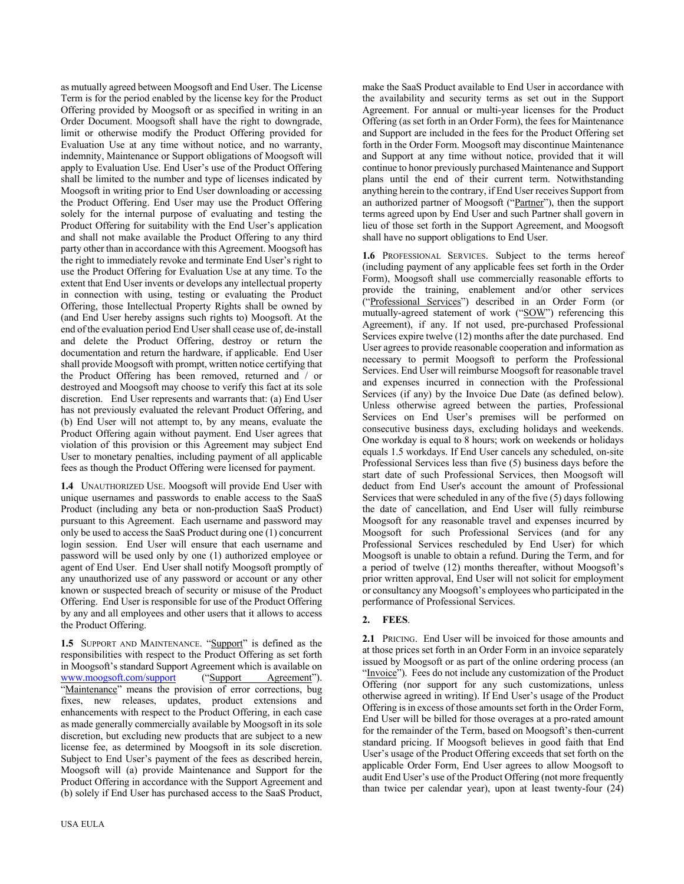as mutually agreed between Moogsoft and End User. The License Term is for the period enabled by the license key for the Product Offering provided by Moogsoft or as specified in writing in an Order Document. Moogsoft shall have the right to downgrade, limit or otherwise modify the Product Offering provided for Evaluation Use at any time without notice, and no warranty, indemnity, Maintenance or Support obligations of Moogsoft will apply to Evaluation Use. End User's use of the Product Offering shall be limited to the number and type of licenses indicated by Moogsoft in writing prior to End User downloading or accessing the Product Offering. End User may use the Product Offering solely for the internal purpose of evaluating and testing the Product Offering for suitability with the End User's application and shall not make available the Product Offering to any third party other than in accordance with this Agreement. Moogsoft has the right to immediately revoke and terminate End User's right to use the Product Offering for Evaluation Use at any time. To the extent that End User invents or develops any intellectual property in connection with using, testing or evaluating the Product Offering, those Intellectual Property Rights shall be owned by (and End User hereby assigns such rights to) Moogsoft. At the end of the evaluation period End User shall cease use of, de-install and delete the Product Offering, destroy or return the documentation and return the hardware, if applicable. End User shall provide Moogsoft with prompt, written notice certifying that the Product Offering has been removed, returned and / or destroyed and Moogsoft may choose to verify this fact at its sole discretion. End User represents and warrants that: (a) End User has not previously evaluated the relevant Product Offering, and (b) End User will not attempt to, by any means, evaluate the Product Offering again without payment. End User agrees that violation of this provision or this Agreement may subject End User to monetary penalties, including payment of all applicable fees as though the Product Offering were licensed for payment.

**1.4** UNAUTHORIZED USE. Moogsoft will provide End User with unique usernames and passwords to enable access to the SaaS Product (including any beta or non-production SaaS Product) pursuant to this Agreement. Each username and password may only be used to access the SaaS Product during one (1) concurrent login session. End User will ensure that each username and password will be used only by one (1) authorized employee or agent of End User. End User shall notify Moogsoft promptly of any unauthorized use of any password or account or any other known or suspected breach of security or misuse of the Product Offering. End User is responsible for use of the Product Offering by any and all employees and other users that it allows to access the Product Offering.

1.5 SUPPORT AND MAINTENANCE. "Support" is defined as the responsibilities with respect to the Product Offering as set forth in Moogsoft's standard Support Agreement which is available on www.moogsoft.com/support ("Support Agreement"). "Maintenance" means the provision of error corrections, bug fixes, new releases, updates, product extensions and enhancements with respect to the Product Offering, in each case as made generally commercially available by Moogsoft in its sole discretion, but excluding new products that are subject to a new license fee, as determined by Moogsoft in its sole discretion. Subject to End User's payment of the fees as described herein, Moogsoft will (a) provide Maintenance and Support for the Product Offering in accordance with the Support Agreement and (b) solely if End User has purchased access to the SaaS Product,

make the SaaS Product available to End User in accordance with the availability and security terms as set out in the Support Agreement. For annual or multi-year licenses for the Product Offering (as set forth in an Order Form), the fees for Maintenance and Support are included in the fees for the Product Offering set forth in the Order Form. Moogsoft may discontinue Maintenance and Support at any time without notice, provided that it will continue to honor previously purchased Maintenance and Support plans until the end of their current term. Notwithstanding anything herein to the contrary, if End User receives Support from an authorized partner of Moogsoft ("Partner"), then the support terms agreed upon by End User and such Partner shall govern in lieu of those set forth in the Support Agreement, and Moogsoft shall have no support obligations to End User.

**1.6** PROFESSIONAL SERVICES. Subject to the terms hereof (including payment of any applicable fees set forth in the Order Form), Moogsoft shall use commercially reasonable efforts to provide the training, enablement and/or other services ("Professional Services") described in an Order Form (or mutually-agreed statement of work ("SOW") referencing this Agreement), if any. If not used, pre-purchased Professional Services expire twelve (12) months after the date purchased. End User agrees to provide reasonable cooperation and information as necessary to permit Moogsoft to perform the Professional Services. End User will reimburse Moogsoft for reasonable travel and expenses incurred in connection with the Professional Services (if any) by the Invoice Due Date (as defined below). Unless otherwise agreed between the parties, Professional Services on End User's premises will be performed on consecutive business days, excluding holidays and weekends. One workday is equal to 8 hours; work on weekends or holidays equals 1.5 workdays. If End User cancels any scheduled, on-site Professional Services less than five (5) business days before the start date of such Professional Services, then Moogsoft will deduct from End User's account the amount of Professional Services that were scheduled in any of the five (5) days following the date of cancellation, and End User will fully reimburse Moogsoft for any reasonable travel and expenses incurred by Moogsoft for such Professional Services (and for any Professional Services rescheduled by End User) for which Moogsoft is unable to obtain a refund. During the Term, and for a period of twelve (12) months thereafter, without Moogsoft's prior written approval, End User will not solicit for employment or consultancy any Moogsoft's employees who participated in the performance of Professional Services.

# **2. FEES**.

**2.1** PRICING. End User will be invoiced for those amounts and at those prices set forth in an Order Form in an invoice separately issued by Moogsoft or as part of the online ordering process (an "Invoice"). Fees do not include any customization of the Product Offering (nor support for any such customizations, unless otherwise agreed in writing). If End User's usage of the Product Offering is in excess of those amounts set forth in the Order Form, End User will be billed for those overages at a pro-rated amount for the remainder of the Term, based on Moogsoft's then-current standard pricing. If Moogsoft believes in good faith that End User's usage of the Product Offering exceeds that set forth on the applicable Order Form, End User agrees to allow Moogsoft to audit End User's use of the Product Offering (not more frequently than twice per calendar year), upon at least twenty-four (24)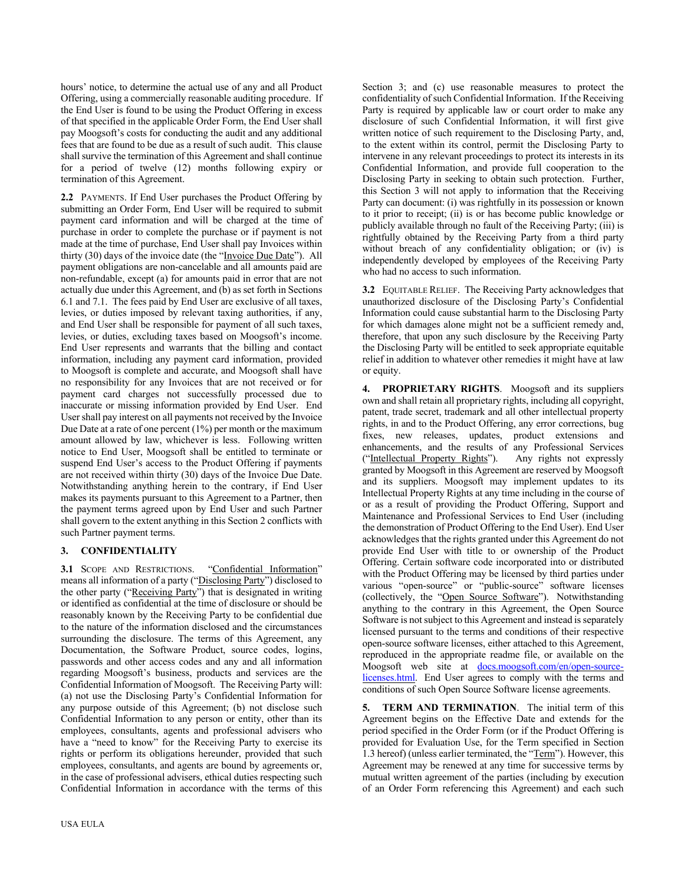hours' notice, to determine the actual use of any and all Product Offering, using a commercially reasonable auditing procedure. If the End User is found to be using the Product Offering in excess of that specified in the applicable Order Form, the End User shall pay Moogsoft's costs for conducting the audit and any additional fees that are found to be due as a result of such audit. This clause shall survive the termination of this Agreement and shall continue for a period of twelve (12) months following expiry or termination of this Agreement.

**2.2** PAYMENTS. If End User purchases the Product Offering by submitting an Order Form, End User will be required to submit payment card information and will be charged at the time of purchase in order to complete the purchase or if payment is not made at the time of purchase, End User shall pay Invoices within thirty (30) days of the invoice date (the "Invoice Due Date"). All payment obligations are non-cancelable and all amounts paid are non-refundable, except (a) for amounts paid in error that are not actually due under this Agreement, and (b) as set forth in Sections 6.1 and 7.1. The fees paid by End User are exclusive of all taxes, levies, or duties imposed by relevant taxing authorities, if any, and End User shall be responsible for payment of all such taxes, levies, or duties, excluding taxes based on Moogsoft's income. End User represents and warrants that the billing and contact information, including any payment card information, provided to Moogsoft is complete and accurate, and Moogsoft shall have no responsibility for any Invoices that are not received or for payment card charges not successfully processed due to inaccurate or missing information provided by End User. End User shall pay interest on all payments not received by the Invoice Due Date at a rate of one percent (1%) per month or the maximum amount allowed by law, whichever is less. Following written notice to End User, Moogsoft shall be entitled to terminate or suspend End User's access to the Product Offering if payments are not received within thirty (30) days of the Invoice Due Date. Notwithstanding anything herein to the contrary, if End User makes its payments pursuant to this Agreement to a Partner, then the payment terms agreed upon by End User and such Partner shall govern to the extent anything in this Section 2 conflicts with such Partner payment terms.

## **3. CONFIDENTIALITY**

3.1 SCOPE AND RESTRICTIONS. "Confidential Information" means all information of a party ("Disclosing Party") disclosed to the other party ("Receiving Party") that is designated in writing or identified as confidential at the time of disclosure or should be reasonably known by the Receiving Party to be confidential due to the nature of the information disclosed and the circumstances surrounding the disclosure. The terms of this Agreement, any Documentation, the Software Product, source codes, logins, passwords and other access codes and any and all information regarding Moogsoft's business, products and services are the Confidential Information of Moogsoft. The Receiving Party will: (a) not use the Disclosing Party's Confidential Information for any purpose outside of this Agreement; (b) not disclose such Confidential Information to any person or entity, other than its employees, consultants, agents and professional advisers who have a "need to know" for the Receiving Party to exercise its rights or perform its obligations hereunder, provided that such employees, consultants, and agents are bound by agreements or, in the case of professional advisers, ethical duties respecting such Confidential Information in accordance with the terms of this

Section 3; and (c) use reasonable measures to protect the confidentiality of such Confidential Information. If the Receiving Party is required by applicable law or court order to make any disclosure of such Confidential Information, it will first give written notice of such requirement to the Disclosing Party, and, to the extent within its control, permit the Disclosing Party to intervene in any relevant proceedings to protect its interests in its Confidential Information, and provide full cooperation to the Disclosing Party in seeking to obtain such protection. Further, this Section 3 will not apply to information that the Receiving Party can document: (i) was rightfully in its possession or known to it prior to receipt; (ii) is or has become public knowledge or publicly available through no fault of the Receiving Party; (iii) is rightfully obtained by the Receiving Party from a third party without breach of any confidentiality obligation; or (iv) is independently developed by employees of the Receiving Party who had no access to such information.

**3.2** EQUITABLE RELIEF. The Receiving Party acknowledges that unauthorized disclosure of the Disclosing Party's Confidential Information could cause substantial harm to the Disclosing Party for which damages alone might not be a sufficient remedy and, therefore, that upon any such disclosure by the Receiving Party the Disclosing Party will be entitled to seek appropriate equitable relief in addition to whatever other remedies it might have at law or equity.

**4. PROPRIETARY RIGHTS**. Moogsoft and its suppliers own and shall retain all proprietary rights, including all copyright, patent, trade secret, trademark and all other intellectual property rights, in and to the Product Offering, any error corrections, bug fixes, new releases, updates, product extensions and enhancements, and the results of any Professional Services ("Intellectual Property Rights"). Any rights not expressly granted by Moogsoft in this Agreement are reserved by Moogsoft and its suppliers. Moogsoft may implement updates to its Intellectual Property Rights at any time including in the course of or as a result of providing the Product Offering, Support and Maintenance and Professional Services to End User (including the demonstration of Product Offering to the End User). End User acknowledges that the rights granted under this Agreement do not provide End User with title to or ownership of the Product Offering. Certain software code incorporated into or distributed with the Product Offering may be licensed by third parties under various "open-source" or "public-source" software licenses (collectively, the "Open Source Software"). Notwithstanding anything to the contrary in this Agreement, the Open Source Software is not subject to this Agreement and instead is separately licensed pursuant to the terms and conditions of their respective open-source software licenses, either attached to this Agreement, reproduced in the appropriate readme file, or available on the Moogsoft web site at docs.moogsoft.com/en/open-sourcelicenses.html. End User agrees to comply with the terms and conditions of such Open Source Software license agreements.

**5. TERM AND TERMINATION**. The initial term of this Agreement begins on the Effective Date and extends for the period specified in the Order Form (or if the Product Offering is provided for Evaluation Use, for the Term specified in Section 1.3 hereof) (unless earlier terminated, the "Term"). However, this Agreement may be renewed at any time for successive terms by mutual written agreement of the parties (including by execution of an Order Form referencing this Agreement) and each such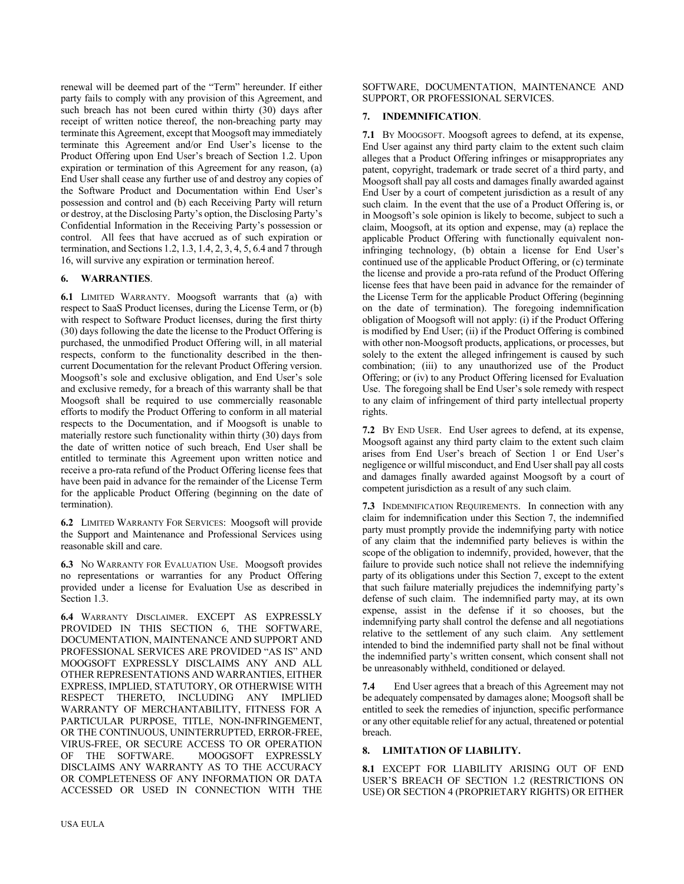renewal will be deemed part of the "Term" hereunder. If either party fails to comply with any provision of this Agreement, and such breach has not been cured within thirty (30) days after receipt of written notice thereof, the non-breaching party may terminate this Agreement, except that Moogsoft may immediately terminate this Agreement and/or End User's license to the Product Offering upon End User's breach of Section 1.2. Upon expiration or termination of this Agreement for any reason, (a) End User shall cease any further use of and destroy any copies of the Software Product and Documentation within End User's possession and control and (b) each Receiving Party will return or destroy, at the Disclosing Party's option, the Disclosing Party's Confidential Information in the Receiving Party's possession or control. All fees that have accrued as of such expiration or termination, and Sections 1.2, 1.3, 1.4, 2, 3, 4, 5, 6.4 and 7 through 16, will survive any expiration or termination hereof.

# **6. WARRANTIES**.

**6.1** LIMITED WARRANTY. Moogsoft warrants that (a) with respect to SaaS Product licenses, during the License Term, or (b) with respect to Software Product licenses, during the first thirty (30) days following the date the license to the Product Offering is purchased, the unmodified Product Offering will, in all material respects, conform to the functionality described in the thencurrent Documentation for the relevant Product Offering version. Moogsoft's sole and exclusive obligation, and End User's sole and exclusive remedy, for a breach of this warranty shall be that Moogsoft shall be required to use commercially reasonable efforts to modify the Product Offering to conform in all material respects to the Documentation, and if Moogsoft is unable to materially restore such functionality within thirty (30) days from the date of written notice of such breach, End User shall be entitled to terminate this Agreement upon written notice and receive a pro-rata refund of the Product Offering license fees that have been paid in advance for the remainder of the License Term for the applicable Product Offering (beginning on the date of termination).

**6.2** LIMITED WARRANTY FOR SERVICES: Moogsoft will provide the Support and Maintenance and Professional Services using reasonable skill and care.

**6.3** NO WARRANTY FOR EVALUATION USE. Moogsoft provides no representations or warranties for any Product Offering provided under a license for Evaluation Use as described in Section 1.3.

**6.4** WARRANTY DISCLAIMER. EXCEPT AS EXPRESSLY PROVIDED IN THIS SECTION 6, THE SOFTWARE, DOCUMENTATION, MAINTENANCE AND SUPPORT AND PROFESSIONAL SERVICES ARE PROVIDED "AS IS" AND MOOGSOFT EXPRESSLY DISCLAIMS ANY AND ALL OTHER REPRESENTATIONS AND WARRANTIES, EITHER EXPRESS, IMPLIED, STATUTORY, OR OTHERWISE WITH RESPECT THERETO, INCLUDING ANY IMPLIED WARRANTY OF MERCHANTABILITY, FITNESS FOR A PARTICULAR PURPOSE, TITLE, NON-INFRINGEMENT, OR THE CONTINUOUS, UNINTERRUPTED, ERROR-FREE, VIRUS-FREE, OR SECURE ACCESS TO OR OPERATION OF THE SOFTWARE. MOOGSOFT EXPRESSLY DISCLAIMS ANY WARRANTY AS TO THE ACCURACY OR COMPLETENESS OF ANY INFORMATION OR DATA ACCESSED OR USED IN CONNECTION WITH THE SOFTWARE, DOCUMENTATION, MAINTENANCE AND SUPPORT, OR PROFESSIONAL SERVICES.

# **7. INDEMNIFICATION**.

**7.1** BY MOOGSOFT. Moogsoft agrees to defend, at its expense, End User against any third party claim to the extent such claim alleges that a Product Offering infringes or misappropriates any patent, copyright, trademark or trade secret of a third party, and Moogsoft shall pay all costs and damages finally awarded against End User by a court of competent jurisdiction as a result of any such claim. In the event that the use of a Product Offering is, or in Moogsoft's sole opinion is likely to become, subject to such a claim, Moogsoft, at its option and expense, may (a) replace the applicable Product Offering with functionally equivalent noninfringing technology, (b) obtain a license for End User's continued use of the applicable Product Offering, or (c) terminate the license and provide a pro-rata refund of the Product Offering license fees that have been paid in advance for the remainder of the License Term for the applicable Product Offering (beginning on the date of termination). The foregoing indemnification obligation of Moogsoft will not apply: (i) if the Product Offering is modified by End User; (ii) if the Product Offering is combined with other non-Moogsoft products, applications, or processes, but solely to the extent the alleged infringement is caused by such combination; (iii) to any unauthorized use of the Product Offering; or (iv) to any Product Offering licensed for Evaluation Use. The foregoing shall be End User's sole remedy with respect to any claim of infringement of third party intellectual property rights.

**7.2** BY END USER. End User agrees to defend, at its expense, Moogsoft against any third party claim to the extent such claim arises from End User's breach of Section 1 or End User's negligence or willful misconduct, and End User shall pay all costs and damages finally awarded against Moogsoft by a court of competent jurisdiction as a result of any such claim.

**7.3** INDEMNIFICATION REQUIREMENTS. In connection with any claim for indemnification under this Section 7, the indemnified party must promptly provide the indemnifying party with notice of any claim that the indemnified party believes is within the scope of the obligation to indemnify, provided, however, that the failure to provide such notice shall not relieve the indemnifying party of its obligations under this Section 7, except to the extent that such failure materially prejudices the indemnifying party's defense of such claim. The indemnified party may, at its own expense, assist in the defense if it so chooses, but the indemnifying party shall control the defense and all negotiations relative to the settlement of any such claim. Any settlement intended to bind the indemnified party shall not be final without the indemnified party's written consent, which consent shall not be unreasonably withheld, conditioned or delayed.

**7.4** End User agrees that a breach of this Agreement may not be adequately compensated by damages alone; Moogsoft shall be entitled to seek the remedies of injunction, specific performance or any other equitable relief for any actual, threatened or potential breach.

## **8. LIMITATION OF LIABILITY.**

**8.1** EXCEPT FOR LIABILITY ARISING OUT OF END USER'S BREACH OF SECTION 1.2 (RESTRICTIONS ON USE) OR SECTION 4 (PROPRIETARY RIGHTS) OR EITHER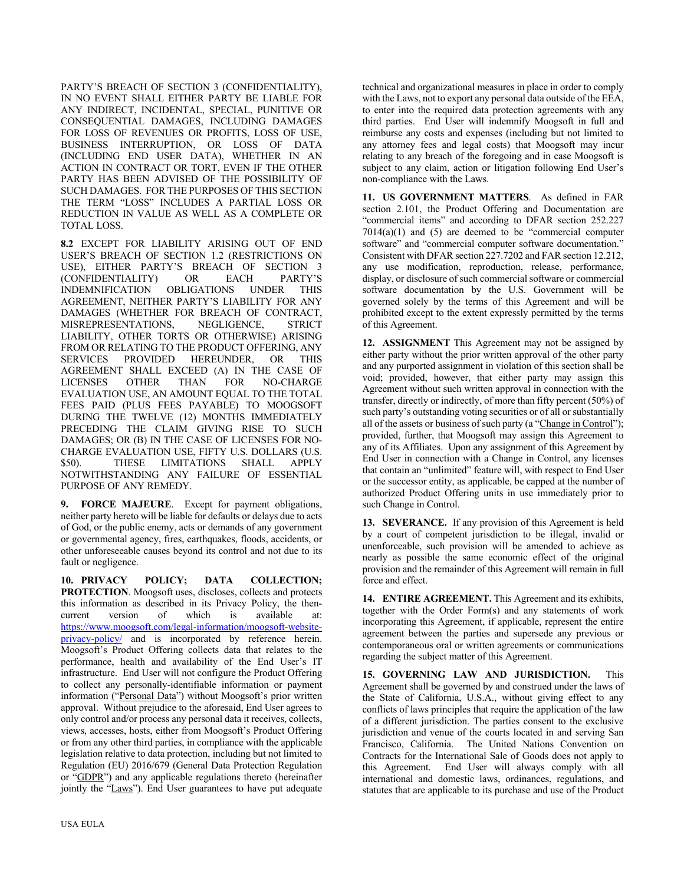PARTY'S BREACH OF SECTION 3 (CONFIDENTIALITY), IN NO EVENT SHALL EITHER PARTY BE LIABLE FOR ANY INDIRECT, INCIDENTAL, SPECIAL, PUNITIVE OR CONSEQUENTIAL DAMAGES, INCLUDING DAMAGES FOR LOSS OF REVENUES OR PROFITS, LOSS OF USE, BUSINESS INTERRUPTION, OR LOSS OF DATA (INCLUDING END USER DATA), WHETHER IN AN ACTION IN CONTRACT OR TORT, EVEN IF THE OTHER PARTY HAS BEEN ADVISED OF THE POSSIBILITY OF SUCH DAMAGES. FOR THE PURPOSES OF THIS SECTION THE TERM "LOSS" INCLUDES A PARTIAL LOSS OR REDUCTION IN VALUE AS WELL AS A COMPLETE OR TOTAL LOSS.

**8.2** EXCEPT FOR LIABILITY ARISING OUT OF END USER'S BREACH OF SECTION 1.2 (RESTRICTIONS ON USE), EITHER PARTY'S BREACH OF SECTION 3 (CONFIDENTIALITY) OR EACH PARTY'S (CONFIDENTIALITY) OR EACH PARTY'S INDEMNIFICATION OBLIGATIONS UNDER THIS AGREEMENT, NEITHER PARTY'S LIABILITY FOR ANY DAMAGES (WHETHER FOR BREACH OF CONTRACT, MISREPRESENTATIONS, NEGLIGENCE, STRICT LIABILITY, OTHER TORTS OR OTHERWISE) ARISING FROM OR RELATING TO THE PRODUCT OFFERING, ANY SERVICES PROVIDED HEREUNDER, OR THIS AGREEMENT SHALL EXCEED (A) IN THE CASE OF LICENSES OTHER THAN FOR NO-CHARGE EVALUATION USE, AN AMOUNT EQUAL TO THE TOTAL FEES PAID (PLUS FEES PAYABLE) TO MOOGSOFT DURING THE TWELVE (12) MONTHS IMMEDIATELY PRECEDING THE CLAIM GIVING RISE TO SUCH DAMAGES; OR (B) IN THE CASE OF LICENSES FOR NO-CHARGE EVALUATION USE, FIFTY U.S. DOLLARS (U.S. \$50). THESE LIMITATIONS SHALL APPLY NOTWITHSTANDING ANY FAILURE OF ESSENTIAL PURPOSE OF ANY REMEDY.

**9. FORCE MAJEURE**. Except for payment obligations, neither party hereto will be liable for defaults or delays due to acts of God, or the public enemy, acts or demands of any government or governmental agency, fires, earthquakes, floods, accidents, or other unforeseeable causes beyond its control and not due to its fault or negligence.

**10. PRIVACY POLICY; DATA COLLECTION; PROTECTION**. Moogsoft uses, discloses, collects and protects this information as described in its Privacy Policy, the thencurrent version of which is available at: https://www.moogsoft.com/legal-information/moogsoft-websiteprivacy-policy/ and is incorporated by reference herein. Moogsoft's Product Offering collects data that relates to the performance, health and availability of the End User's IT infrastructure. End User will not configure the Product Offering to collect any personally-identifiable information or payment information ("Personal Data") without Moogsoft's prior written approval. Without prejudice to the aforesaid, End User agrees to only control and/or process any personal data it receives, collects, views, accesses, hosts, either from Moogsoft's Product Offering or from any other third parties, in compliance with the applicable legislation relative to data protection, including but not limited to Regulation (EU) 2016/679 (General Data Protection Regulation or "GDPR") and any applicable regulations thereto (hereinafter jointly the "Laws"). End User guarantees to have put adequate

technical and organizational measures in place in order to comply with the Laws, not to export any personal data outside of the EEA, to enter into the required data protection agreements with any third parties. End User will indemnify Moogsoft in full and reimburse any costs and expenses (including but not limited to any attorney fees and legal costs) that Moogsoft may incur relating to any breach of the foregoing and in case Moogsoft is subject to any claim, action or litigation following End User's non-compliance with the Laws.

**11. US GOVERNMENT MATTERS**. As defined in FAR section 2.101, the Product Offering and Documentation are "commercial items" and according to DFAR section 252.227  $7014(a)(1)$  and  $(5)$  are deemed to be "commercial computer software" and "commercial computer software documentation." Consistent with DFAR section 227.7202 and FAR section 12.212, any use modification, reproduction, release, performance, display, or disclosure of such commercial software or commercial software documentation by the U.S. Government will be governed solely by the terms of this Agreement and will be prohibited except to the extent expressly permitted by the terms of this Agreement.

**12. ASSIGNMENT** This Agreement may not be assigned by either party without the prior written approval of the other party and any purported assignment in violation of this section shall be void; provided, however, that either party may assign this Agreement without such written approval in connection with the transfer, directly or indirectly, of more than fifty percent (50%) of such party's outstanding voting securities or of all or substantially all of the assets or business of such party (a "Change in Control"); provided, further, that Moogsoft may assign this Agreement to any of its Affiliates. Upon any assignment of this Agreement by End User in connection with a Change in Control, any licenses that contain an "unlimited" feature will, with respect to End User or the successor entity, as applicable, be capped at the number of authorized Product Offering units in use immediately prior to such Change in Control.

**13. SEVERANCE.** If any provision of this Agreement is held by a court of competent jurisdiction to be illegal, invalid or unenforceable, such provision will be amended to achieve as nearly as possible the same economic effect of the original provision and the remainder of this Agreement will remain in full force and effect.

**14. ENTIRE AGREEMENT.** This Agreement and its exhibits, together with the Order Form(s) and any statements of work incorporating this Agreement, if applicable, represent the entire agreement between the parties and supersede any previous or contemporaneous oral or written agreements or communications regarding the subject matter of this Agreement.

**15. GOVERNING LAW AND JURISDICTION.** This Agreement shall be governed by and construed under the laws of the State of California, U.S.A., without giving effect to any conflicts of laws principles that require the application of the law of a different jurisdiction. The parties consent to the exclusive jurisdiction and venue of the courts located in and serving San Francisco, California. The United Nations Convention on Contracts for the International Sale of Goods does not apply to this Agreement. End User will always comply with all international and domestic laws, ordinances, regulations, and statutes that are applicable to its purchase and use of the Product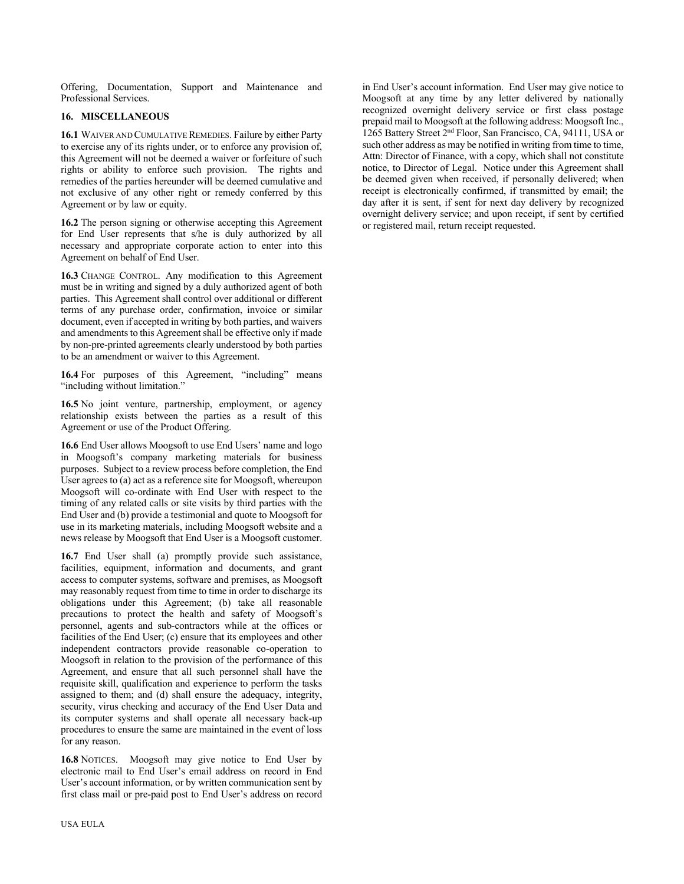Offering, Documentation, Support and Maintenance and Professional Services.

# **16. MISCELLANEOUS**

**16.1** WAIVER AND CUMULATIVE REMEDIES. Failure by either Party to exercise any of its rights under, or to enforce any provision of, this Agreement will not be deemed a waiver or forfeiture of such rights or ability to enforce such provision. The rights and remedies of the parties hereunder will be deemed cumulative and not exclusive of any other right or remedy conferred by this Agreement or by law or equity.

**16.2** The person signing or otherwise accepting this Agreement for End User represents that s/he is duly authorized by all necessary and appropriate corporate action to enter into this Agreement on behalf of End User.

**16.3** CHANGE CONTROL. Any modification to this Agreement must be in writing and signed by a duly authorized agent of both parties. This Agreement shall control over additional or different terms of any purchase order, confirmation, invoice or similar document, even if accepted in writing by both parties, and waivers and amendments to this Agreement shall be effective only if made by non-pre-printed agreements clearly understood by both parties to be an amendment or waiver to this Agreement.

**16.4** For purposes of this Agreement, "including" means "including without limitation."

**16.5** No joint venture, partnership, employment, or agency relationship exists between the parties as a result of this Agreement or use of the Product Offering.

**16.6** End User allows Moogsoft to use End Users' name and logo in Moogsoft's company marketing materials for business purposes. Subject to a review process before completion, the End User agrees to (a) act as a reference site for Moogsoft, whereupon Moogsoft will co-ordinate with End User with respect to the timing of any related calls or site visits by third parties with the End User and (b) provide a testimonial and quote to Moogsoft for use in its marketing materials, including Moogsoft website and a news release by Moogsoft that End User is a Moogsoft customer.

**16.7** End User shall (a) promptly provide such assistance, facilities, equipment, information and documents, and grant access to computer systems, software and premises, as Moogsoft may reasonably request from time to time in order to discharge its obligations under this Agreement; (b) take all reasonable precautions to protect the health and safety of Moogsoft's personnel, agents and sub-contractors while at the offices or facilities of the End User; (c) ensure that its employees and other independent contractors provide reasonable co-operation to Moogsoft in relation to the provision of the performance of this Agreement, and ensure that all such personnel shall have the requisite skill, qualification and experience to perform the tasks assigned to them; and (d) shall ensure the adequacy, integrity, security, virus checking and accuracy of the End User Data and its computer systems and shall operate all necessary back-up procedures to ensure the same are maintained in the event of loss for any reason.

**16.8** NOTICES. Moogsoft may give notice to End User by electronic mail to End User's email address on record in End User's account information, or by written communication sent by first class mail or pre-paid post to End User's address on record

in End User's account information. End User may give notice to Moogsoft at any time by any letter delivered by nationally recognized overnight delivery service or first class postage prepaid mail to Moogsoft at the following address: Moogsoft Inc., 1265 Battery Street 2nd Floor, San Francisco, CA, 94111, USA or such other address as may be notified in writing from time to time, Attn: Director of Finance, with a copy, which shall not constitute notice, to Director of Legal. Notice under this Agreement shall be deemed given when received, if personally delivered; when receipt is electronically confirmed, if transmitted by email; the day after it is sent, if sent for next day delivery by recognized overnight delivery service; and upon receipt, if sent by certified or registered mail, return receipt requested.